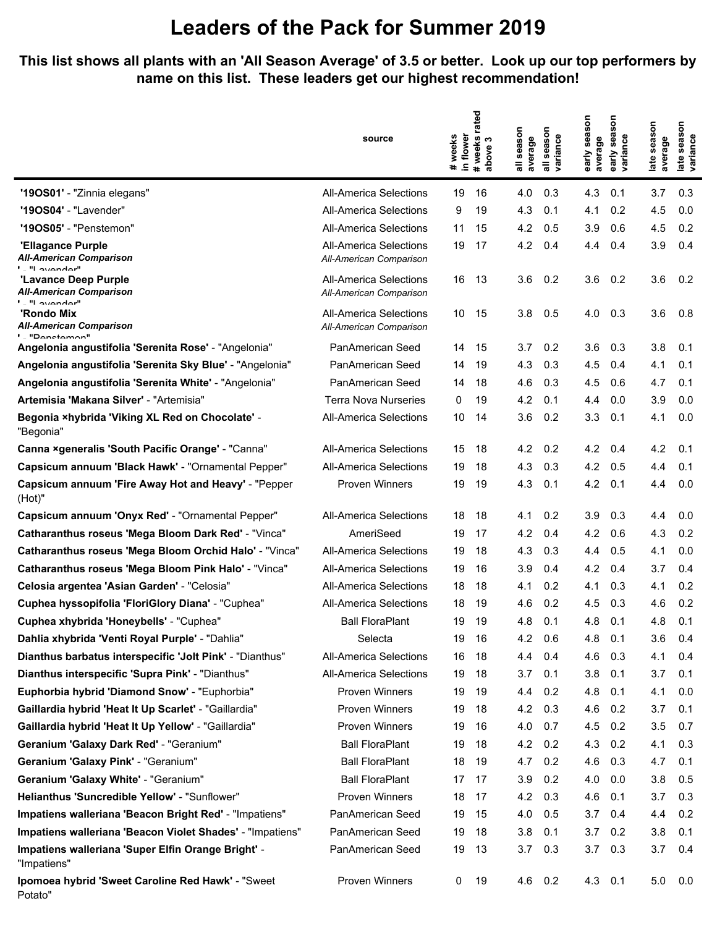## **Leaders of the Pack for Summer 2019**

**This list shows all plants with an 'All Season Average' of 3.5 or better. Look up our top performers by name on this list. These leaders get our highest recommendation!**

|                                                                             | source                                                   | in flower<br>weeks<br>$\ddot{}$ | <sup>t</sup> weeks rated<br>bove 3<br>anone<br>apove | season<br>average<br>듷 | season<br>variance<br>$\overline{a}$ | early season<br>average | ទ<br>Ō,<br>sea<br>variance<br>early | late season<br>average | season<br>late seaso<br>variance |
|-----------------------------------------------------------------------------|----------------------------------------------------------|---------------------------------|------------------------------------------------------|------------------------|--------------------------------------|-------------------------|-------------------------------------|------------------------|----------------------------------|
| '190S01' - "Zinnia elegans"                                                 | <b>All-America Selections</b>                            | 19                              | 16                                                   | 4.0                    | 0.3                                  | 4.3                     | 0.1                                 | 3.7                    | 0.3                              |
| "190S04" - "Lavender"                                                       | <b>All-America Selections</b>                            | 9                               | 19                                                   | 4.3                    | 0.1                                  | 4.1                     | 0.2                                 | 4.5                    | 0.0                              |
| "190S05" - "Penstemon"                                                      | <b>All-America Selections</b>                            | 11                              | 15                                                   | 4.2                    | 0.5                                  | 3.9                     | 0.6                                 | 4.5                    | 0.2                              |
| 'Ellagance Purple<br>All-American Comparison<br>$\blacksquare$ "I overador" | <b>All-America Selections</b><br>All-American Comparison | 19                              | 17                                                   | 4.2                    | 0.4                                  | 4.4                     | 0.4                                 | 3.9                    | 0.4                              |
| 'Lavance Deep Purple<br>All-American Comparison<br>" - "I avandar"          | All-America Selections<br>All-American Comparison        | 16                              | 13                                                   | 3.6                    | 0.2                                  | 3.6                     | 0.2                                 | 3.6                    | 0.2                              |
| 'Rondo Mix<br>All-American Comparison<br>' "Donotomon"                      | <b>All-America Selections</b><br>All-American Comparison | 10                              | 15                                                   | 3.8                    | 0.5                                  | 4.0                     | 0.3                                 | 3.6                    | 0.8                              |
| Angelonia angustifolia 'Serenita Rose' - "Angelonia"                        | PanAmerican Seed                                         | 14                              | 15                                                   | 3.7                    | 0.2                                  | 3.6                     | 0.3                                 | 3.8                    | 0.1                              |
| Angelonia angustifolia 'Serenita Sky Blue' - "Angelonia"                    | PanAmerican Seed                                         | 14                              | 19                                                   | 4.3                    | 0.3                                  | 4.5                     | 0.4                                 | 4.1                    | 0.1                              |
| Angelonia angustifolia 'Serenita White' - "Angelonia"                       | PanAmerican Seed                                         | 14                              | 18                                                   | 4.6                    | 0.3                                  | 4.5                     | 0.6                                 | 4.7                    | 0.1                              |
| Artemisia 'Makana Silver' - "Artemisia"                                     | <b>Terra Nova Nurseries</b>                              | 0                               | 19                                                   | 4.2                    | 0.1                                  | 4.4                     | 0.0                                 | 3.9                    | 0.0                              |
| Begonia ×hybrida 'Viking XL Red on Chocolate' -<br>"Begonia"                | <b>All-America Selections</b>                            | 10                              | 14                                                   | 3.6                    | 0.2                                  | 3.3                     | 0.1                                 | 4.1                    | 0.0                              |
| Canna xgeneralis 'South Pacific Orange' - "Canna"                           | <b>All-America Selections</b>                            | 15                              | 18                                                   | 4.2                    | 0.2                                  | 4.2                     | 0.4                                 | 4.2                    | 0.1                              |
| Capsicum annuum 'Black Hawk' - "Ornamental Pepper"                          | <b>All-America Selections</b>                            | 19                              | 18                                                   | 4.3                    | 0.3                                  | 4.2                     | 0.5                                 | 4.4                    | 0.1                              |
| Capsicum annuum 'Fire Away Hot and Heavy' - "Pepper<br>(Hot)"               | <b>Proven Winners</b>                                    | 19                              | 19                                                   | 4.3                    | 0.1                                  | 4.2                     | 0.1                                 | 4.4                    | 0.0                              |
| Capsicum annuum 'Onyx Red' - "Ornamental Pepper"                            | All-America Selections                                   | 18                              | 18                                                   | 4.1                    | 0.2                                  | 3.9                     | 0.3                                 | 4.4                    | 0.0                              |
| Catharanthus roseus 'Mega Bloom Dark Red' - "Vinca"                         | AmeriSeed                                                | 19                              | 17                                                   | 4.2                    | 0.4                                  | 4.2                     | 0.6                                 | 4.3                    | 0.2                              |
| Catharanthus roseus 'Mega Bloom Orchid Halo' - "Vinca"                      | <b>All-America Selections</b>                            | 19                              | 18                                                   | 4.3                    | 0.3                                  | 4.4                     | 0.5                                 | 4.1                    | 0.0                              |
| Catharanthus roseus 'Mega Bloom Pink Halo' - "Vinca"                        | <b>All-America Selections</b>                            | 19                              | 16                                                   | 3.9                    | 0.4                                  | 4.2                     | 0.4                                 | 3.7                    | 0.4                              |
| Celosia argentea 'Asian Garden' - "Celosia"                                 | <b>All-America Selections</b>                            | 18                              | 18                                                   | 4.1                    | 0.2                                  | 4.1                     | 0.3                                 | 4.1                    | 0.2                              |
| Cuphea hyssopifolia 'FloriGlory Diana' - "Cuphea"                           | <b>All-America Selections</b>                            | 18                              | 19                                                   | 4.6                    | 0.2                                  | 4.5                     | 0.3                                 | 4.6                    | 0.2                              |
| Cuphea xhybrida 'Honeybells' - "Cuphea"                                     | <b>Ball FloraPlant</b>                                   | 19                              | 19                                                   | 4.8                    | 0.1                                  | 4.8                     | 0.1                                 | 4.8                    | 0.1                              |
| Dahlia xhybrida 'Venti Royal Purple' - "Dahlia"                             | Selecta                                                  | 19                              | 16                                                   | 4.2                    | 0.6                                  | 4.8                     | 0.1                                 | 3.6                    | 0.4                              |
| Dianthus barbatus interspecific 'Jolt Pink' - "Dianthus"                    | <b>All-America Selections</b>                            | 16                              | 18                                                   | 4.4                    | 0.4                                  | 4.6                     | 0.3                                 | 4.1                    | 0.4                              |
| Dianthus interspecific 'Supra Pink' - "Dianthus"                            | <b>All-America Selections</b>                            | 19                              | 18                                                   | 3.7                    | 0.1                                  | 3.8                     | 0.1                                 | 3.7                    | 0.1                              |
| Euphorbia hybrid 'Diamond Snow' - "Euphorbia"                               | <b>Proven Winners</b>                                    | 19                              | 19                                                   | 4.4                    | 0.2                                  | 4.8                     | 0.1                                 | 4.1                    | 0.0                              |
| Gaillardia hybrid 'Heat It Up Scarlet' - "Gaillardia"                       | Proven Winners                                           | 19                              | 18                                                   | 4.2                    | 0.3                                  | 4.6                     | 0.2                                 | 3.7                    | 0.1                              |
| Gaillardia hybrid 'Heat It Up Yellow' - "Gaillardia"                        | <b>Proven Winners</b>                                    | 19                              | 16                                                   | 4.0                    | 0.7                                  | 4.5                     | 0.2                                 | 3.5                    | 0.7                              |
| Geranium 'Galaxy Dark Red' - "Geranium"                                     | <b>Ball FloraPlant</b>                                   | 19                              | 18                                                   | 4.2                    | 0.2                                  | 4.3                     | 0.2                                 | 4.1                    | 0.3                              |
| Geranium 'Galaxy Pink' - "Geranium"                                         | <b>Ball FloraPlant</b>                                   | 18                              | 19                                                   | 4.7                    | 0.2                                  | 4.6                     | 0.3                                 | 4.7                    | 0.1                              |
| Geranium 'Galaxy White' - "Geranium"                                        | <b>Ball FloraPlant</b>                                   | 17                              | 17                                                   | 3.9                    | 0.2                                  | 4.0                     | 0.0                                 | 3.8                    | 0.5                              |
| Helianthus 'Suncredible Yellow' - "Sunflower"                               | <b>Proven Winners</b>                                    | 18                              | 17                                                   | 4.2                    | 0.3                                  | 4.6                     | 0.1                                 | 3.7                    | 0.3                              |
| Impatiens walleriana 'Beacon Bright Red' - "Impatiens"                      | PanAmerican Seed                                         | 19                              | 15                                                   | 4.0                    | 0.5                                  | 3.7                     | 0.4                                 | 4.4                    | 0.2                              |
| Impatiens walleriana 'Beacon Violet Shades' - "Impatiens"                   | PanAmerican Seed                                         | 19                              | 18                                                   | 3.8                    | 0.1                                  | 3.7                     | 0.2                                 | 3.8                    | 0.1                              |
| Impatiens walleriana 'Super Elfin Orange Bright' -<br>"Impatiens"           | PanAmerican Seed                                         | 19                              | 13                                                   | 3.7                    | 0.3                                  | 3.7                     | 0.3                                 | 3.7                    | 0.4                              |
| Ipomoea hybrid 'Sweet Caroline Red Hawk' - "Sweet<br>Potato"                | <b>Proven Winners</b>                                    | 0                               | 19                                                   | 4.6                    | 0.2                                  | 4.3                     | 0.1                                 | 5.0                    | 0.0                              |